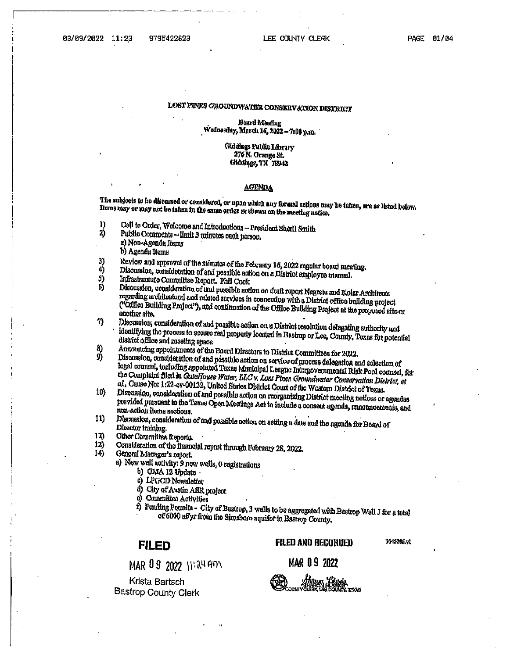## LOST PINKS GROUNDWATER CONSERVATION DISTRICT

#### Board Meeting Wudnesday, March 16, 2022 – 7:00 p.m.

#### Giddings Public Library 276 N. Orange St. Glddings, TX 78942

#### **AGENDA**

The subjects to be discussed or considered, or upon which any formal actions may be taken, are as listed below. Ituns may or may not be taken in the same order as shown on the meeting notice.

- Call to Order, Welcome and Introductions President Sheril Smith וו
- 2) Public Comments - limit 3 minutes each person. a) Non-Agenda Items
	- b) Agenda Items
- Review and approval of the minutes of the February 16, 2022 regular board meeting. 3) 4)
- Discussion, consideration of and possible action on a District employee manual. J)
- Infrastructure Committee Report. Phil Cook  $\ddot{\mathbf{b}}$
- Discussion, consideration of and possible action on draft report Negrete and Kolar Architects regarding architectural and related services in connection with a District office building project ("Office Building Project"), and continuation of the Office Building Project at the proposed site or another site.
- $7)$ Discussion, consideration of and possible action on a District resolution delegating authority and identifying the process to secure real property located in Bastrop or Lee, County, Texas for potential district office and meeting space
- Announcing appointments of the Board Directors to District Committees for 2022. 8)
- Discussion, consideration of and possible action on sorvice of process delegation and selection of 9) legal counsel, including appointed Texas Municipal League Intergovernmental Risk Pool counsel, for the Complaint filed in Calaflouse Water, LLC v. Lost Pines Groundwater Conservation District, et al., Cause Not 1:22-ov-00132, United States Disirict Court of the Westom District of Texas.
- Discussion, consideration of and possible action on reorganizing District meeting notices or agendas  $10<sub>b</sub>$ provided pursuant to the Texas Open Meetings Act to include a consent agenda, announcements, and non-action items sections.
- Discussion, consideration of and possible action on setting a date and the agenda for Board of  $11)$ Director training.
- $12)$ Other Committee Reports.
- Consideration of the financial report through February 28, 2022.  $12)$ 14)
	- General Manager's report.
		- a) New well activity: 9 new wells, 0 registrations
			- b) CIMA 12 Update  $\cdot$
			- c) LPGCD Nowsletter
			- d) City of Austin ASR project
			- e) Committee Activities
			- f) Fending Permits City of Bastrop, 3 wells to be aggregated with Bastrop Well J for a total of 6000 affyr from the Sinusboro aquiter in Bashop County.

### **FILED**

MAR 09 2022 11:24 AM

Krista Bartsch **Bastrop County Clerk** 

#### **FILED AND RECORDED**

3645205.vl

MAR 09 2022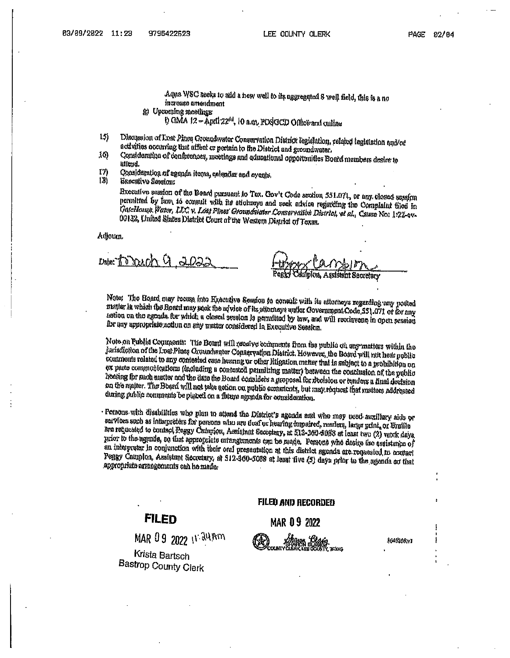Aqua WSC seeks to add a new well to its aggregated S well field, this is a no increase amendment (c) Upcoming meetings

h GMA 12 - April 22<sup>th</sup>, 10 a.m. POSGCD Office and online

- Discussion of Lost Pines Groundwater Conservation District legislation, related ingislation and/of  $15\}$ activities occurring that affect or pertain to the District and groundwater.
- Consideration of conferences, meetings and educational opportunities Board members desire to 30) uffend.

I7) Qonskieration of agenda items, calendar and ayents,

 $181$ Executive Session:

Executive session of the Board pursuant to Tox. Gov't Code section 531.071, or any closed session permitted by law, to consult with its attorneys and seek advice regarding the Complaint filed in GateMouse, Vater, LLC v. Lost Pines' Groundwater Conservation District, et al., Cause No: 1:22-ev-00132, United States District Court of the Western District of Texas.

Adjoum

Date:"i D DOALD DS:

Note: The Board may recess into Executive Session to consult with its attorneys regarding any posted matter in which the Board may reak the advice of its attorneys uniter Government Code, 551.071 or for any action on the agenda for which a closed session is permitted by law, and will reconvene in open session for any appropriate action on any matter considered in Executive Session.

Note on Publid Comments: The Board will receive comments from the public on any matters within the Jurisdiction of the Loat Pince Croundwater Conagryation District. However, the Board will not hear public comments related to any contested case hearing or other litigation matter that is sabject to a probibition on ex parte communications (including a contested pennitring matter) between the conclusion of the public heating for such matter and the dam the Board considers a groposal for recision or tenders a final decision on the maiter. The Board will not take action on public comments, but may request that matters addressed during rablic comments be placed on a future agenda for consideration.

· Petaons with disabilities who plan to attand the District's agenda and who may need auxiliary aids or services such as interpreters for persons who are deaf or hearing impaired, resulers, large print, or Eraille are requested to contact Peggy Campion, Assistant Secretary, at 512-360-5088 at least two (2) work days prior to the agenda, so that appropriate arrangements can be made. Persons who desire the assistance of an interpreter in conjunction with their oral presentation at this district agenda are requested to contact Peggy Campion, Assistant Secretary, at 512-360-5088 at least five (5) days prior to the agenda so that appropriate arrangements can be made.

# **FILED**

MAR 09 2022 11:34 Am

Krista Bartsch Bastrop County Clerk

#### FILED AND RECORDED

**MAR 09 2022** 

1045206.v1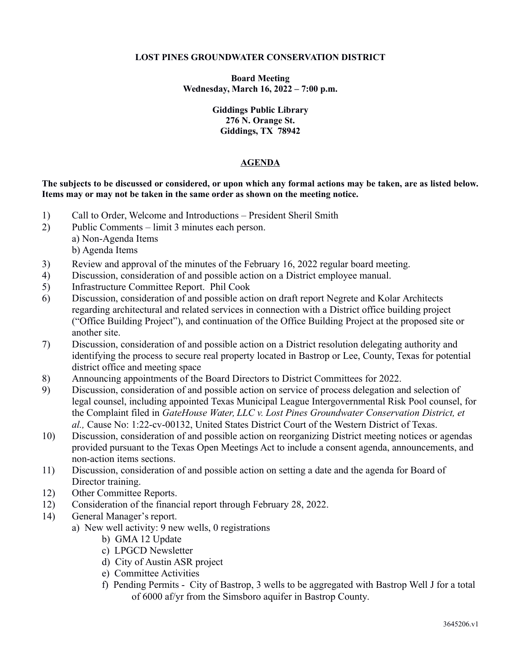### **LOST PINES GROUNDWATER CONSERVATION DISTRICT**

**Board Meeting Wednesday, March 16, 2022 – 7:00 p.m.**

> **Giddings Public Library 276 N. Orange St. Giddings, TX 78942**

## **AGENDA**

**The subjects to be discussed or considered, or upon which any formal actions may be taken, are as listed below. Items may or may not be taken in the same order as shown on the meeting notice.**

- 1) Call to Order, Welcome and Introductions President Sheril Smith
- 2) Public Comments limit 3 minutes each person.
	- a) Non-Agenda Items b) Agenda Items
- 3) Review and approval of the minutes of the February 16, 2022 regular board meeting.
- 4) Discussion, consideration of and possible action on a District employee manual.
- 5) Infrastructure Committee Report. Phil Cook
- 6) Discussion, consideration of and possible action on draft report Negrete and Kolar Architects regarding architectural and related services in connection with a District office building project ("Office Building Project"), and continuation of the Office Building Project at the proposed site or another site.
- 7) Discussion, consideration of and possible action on a District resolution delegating authority and identifying the process to secure real property located in Bastrop or Lee, County, Texas for potential district office and meeting space
- 8) Announcing appointments of the Board Directors to District Committees for 2022.
- 9) Discussion, consideration of and possible action on service of process delegation and selection of legal counsel, including appointed Texas Municipal League Intergovernmental Risk Pool counsel, for the Complaint filed in *GateHouse Water, LLC v. Lost Pines Groundwater Conservation District, et al.,* Cause No: 1:22-cv-00132, United States District Court of the Western District of Texas.
- 10) Discussion, consideration of and possible action on reorganizing District meeting notices or agendas provided pursuant to the Texas Open Meetings Act to include a consent agenda, announcements, and non-action items sections.
- 11) Discussion, consideration of and possible action on setting a date and the agenda for Board of Director training.
- 12) Other Committee Reports.
- 12) Consideration of the financial report through February 28, 2022.
- 14) General Manager's report.
	- a) New well activity: 9 new wells, 0 registrations
		- b) GMA 12 Update
		- c) LPGCD Newsletter
		- d) City of Austin ASR project
		- e) Committee Activities
		- f) Pending Permits City of Bastrop, 3 wells to be aggregated with Bastrop Well J for a total of 6000 af/yr from the Simsboro aquifer in Bastrop County.